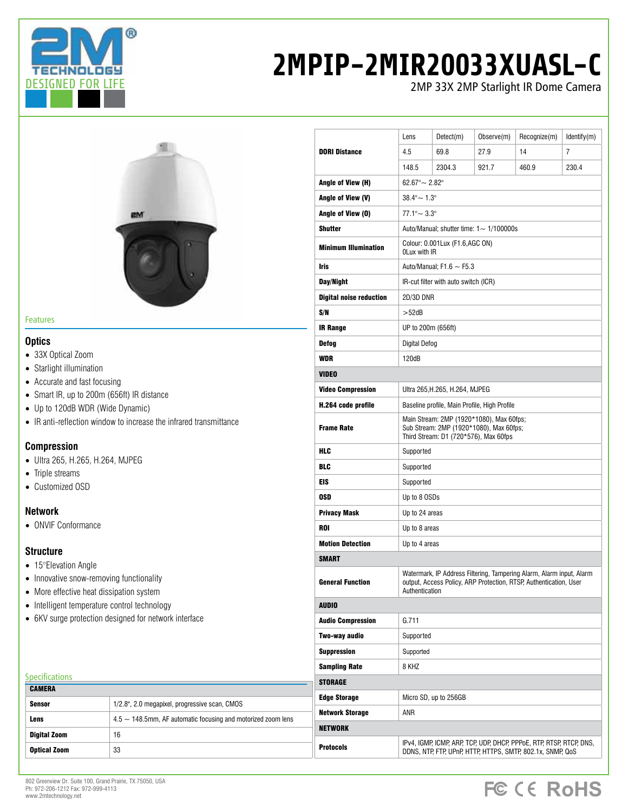

# **2MPIP-2MIR20033XUASL-C**

2MP 33X 2MP Starlight IR Dome Camera



#### Features

#### **Optics**

- 33X Optical Zoom
- Starlight illumination
- Accurate and fast focusing
- Smart IR, up to 200m (656ft) IR distance
- Up to 120dB WDR (Wide Dynamic)
- IR anti-reflection window to increase the infrared transmittance

### **Compression**

- Ultra 265, H.265, H.264, MJPEG
- Triple streams
- Customized OSD

#### **Network**

• ONVIF Conformance

### **Structure**

**CAMERA** 

**Specifications** 

- 15°Elevation Angle
- Innovative snow-removing functionality
- More effective heat dissipation system
- Intelligent temperature control technology
- 6KV surge protection designed for network interface

Sensor 1/2.8", 2.0 megapixel, progressive scan, CMOS

**Lens**  $4.5 \sim 148.5$ mm, AF automatic focusing and motorized zoom lens

|                                | Lens                                                                                                                                                        | Detect(m)             | Observe(m) | Recognize(m) | Identify(m) |  |
|--------------------------------|-------------------------------------------------------------------------------------------------------------------------------------------------------------|-----------------------|------------|--------------|-------------|--|
| <b>DORI Distance</b>           | 4.5                                                                                                                                                         | 69.8                  | 27.9       | 14           | 7           |  |
|                                | 148.5                                                                                                                                                       | 2304.3                | 921.7      | 460.9        | 230.4       |  |
| Angle of View (H)              | $62.67^{\circ}$ $\sim$ 2.82 $^{\circ}$                                                                                                                      |                       |            |              |             |  |
| Angle of View (V)              | $38.4^{\circ}$ $- 1.3^{\circ}$                                                                                                                              |                       |            |              |             |  |
| Angle of View (0)              | $77.1^{\circ}$ $\sim$ 3.3°                                                                                                                                  |                       |            |              |             |  |
| <b>Shutter</b>                 | Auto/Manual; shutter time: $1 - 1/100000$ s                                                                                                                 |                       |            |              |             |  |
| <b>Minimum Illumination</b>    | Colour: 0.001Lux (F1.6,AGC ON)<br><b>OLux with IR</b>                                                                                                       |                       |            |              |             |  |
| Iris                           | Auto/Manual; F1.6 $\sim$ F5.3                                                                                                                               |                       |            |              |             |  |
| Day/Night                      | IR-cut filter with auto switch (ICR)                                                                                                                        |                       |            |              |             |  |
| <b>Digital noise reduction</b> | 2D/3D DNR                                                                                                                                                   |                       |            |              |             |  |
| S/N                            | $>52$ d $B$                                                                                                                                                 |                       |            |              |             |  |
| <b>IR Range</b>                | UP to 200m (656ft)                                                                                                                                          |                       |            |              |             |  |
| <b>Defog</b>                   | Digital Defog                                                                                                                                               |                       |            |              |             |  |
| WDR                            | 120dB                                                                                                                                                       |                       |            |              |             |  |
| <b>VIDEO</b>                   |                                                                                                                                                             |                       |            |              |             |  |
| <b>Video Compression</b>       | Ultra 265, H.265, H.264, MJPEG                                                                                                                              |                       |            |              |             |  |
| H.264 code profile             | Baseline profile, Main Profile, High Profile                                                                                                                |                       |            |              |             |  |
| <b>Frame Rate</b>              | Main Stream: 2MP (1920*1080), Max 60fps;<br>Sub Stream: 2MP (1920*1080), Max 60fps;<br>Third Stream: D1 (720*576), Max 60fps                                |                       |            |              |             |  |
| HLC                            | Supported                                                                                                                                                   |                       |            |              |             |  |
| BLC                            | Supported                                                                                                                                                   |                       |            |              |             |  |
| EIS                            | Supported                                                                                                                                                   |                       |            |              |             |  |
| <b>OSD</b>                     | Up to 8 OSDs                                                                                                                                                |                       |            |              |             |  |
| <b>Privacy Mask</b>            | Up to 24 areas                                                                                                                                              |                       |            |              |             |  |
| <b>ROI</b>                     | Up to 8 areas                                                                                                                                               |                       |            |              |             |  |
| <b>Motion Detection</b>        | Up to 4 areas                                                                                                                                               |                       |            |              |             |  |
| <b>SMART</b>                   |                                                                                                                                                             |                       |            |              |             |  |
| <b>General Function</b>        | Watermark, IP Address Filtering, Tampering Alarm, Alarm input, Alarm<br>output, Access Policy, ARP Protection, RTSP, Authentication, User<br>Authentication |                       |            |              |             |  |
| <b>AUDIO</b>                   |                                                                                                                                                             |                       |            |              |             |  |
| <b>Audio Compression</b>       | G.711                                                                                                                                                       |                       |            |              |             |  |
| Two-way audio                  |                                                                                                                                                             | Supported             |            |              |             |  |
| <b>Suppression</b>             | Supported                                                                                                                                                   |                       |            |              |             |  |
| <b>Sampling Rate</b>           | 8 KHZ                                                                                                                                                       |                       |            |              |             |  |
| <b>STORAGE</b>                 |                                                                                                                                                             |                       |            |              |             |  |
| <b>Edge Storage</b>            |                                                                                                                                                             | Micro SD, up to 256GB |            |              |             |  |
| <b>Network Storage</b>         | ANR                                                                                                                                                         |                       |            |              |             |  |
| <b>NETWORK</b>                 |                                                                                                                                                             |                       |            |              |             |  |
| <b>Protocols</b>               | IPv4, IGMP, ICMP, ARP, TCP, UDP, DHCP, PPPoE, RTP, RTSP, RTCP, DNS,<br>DDNS, NTP, FTP, UPnP, HTTP, HTTPS, SMTP, 802.1x, SNMP, QoS                           |                       |            |              |             |  |

**Digital Zoom** 16 **Optical Zoom** 33

## FC CE RoHS